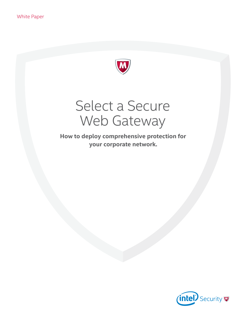

# Select a Secure Web Gateway

**How to deploy comprehensive protection for your corporate network.**

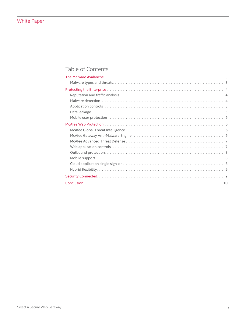# Table of Contents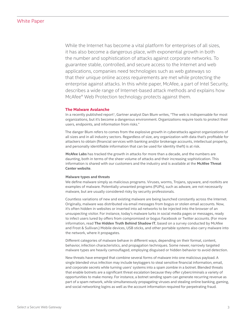# <span id="page-2-0"></span>White Paper

While the Internet has become a vital platform for enterprises of all sizes, it has also become a dangerous place, with exponential growth in both the number and sophistication of attacks against corporate networks. To guarantee stable, controlled, and secure access to the Internet and web applications, companies need technologies such as web gateways so that their unique online access requirements are met while protecting the enterprise against attacks. In this white paper, McAfee, a part of Intel Security, describes a wide range of Internet-based attack methods and explains how McAfee® Web Protection technology protects against them.

#### **The Malware Avalanche**

In a recently published report<sup>1</sup>, Gartner analyst Dan Blum writes, "The web is indispensable for most organizations, but it's become a dangerous environment. Organizations require tools to protect their users, endpoints, and information from risks."

The danger Blum refers to comes from the explosive growth in cyberattacks against organizations of all sizes and in all industry sectors. Regardless of size, any organization with data that's profitable for attackers to obtain (financial services with banking and/or brokerage accounts, intellectual property, and personally identifiable information that can be used for identity theft) is at risk.

**[McAfee Labs](http://www.mcafee.com/us/mcafee-labs.aspx)** has tracked the growth in attacks for more than a decade, and the numbers are daunting, both in terms of the sheer volume of attacks and their increasing sophistication. This information is shared with our customers and the industry and is available at the **[McAfee Threat](http://www.mcafee.com/us/threat-center.aspx)  [Center website](http://www.mcafee.com/us/threat-center.aspx)**.

#### **Malware types and threats**

We define malware simply as malicious programs. Viruses, worms, Trojans, spyware, and rootkits are examples of malware. Potentially unwanted programs (PUPs), such as adware, are not necessarily malware, but are usually considered risky by security professionals.

Countless variations of new and existing malware are being launched constantly across the Internet. Originally, malware was distributed via email messages from bogus or stolen email accounts. Now, it's often hidden in websites or inserted into ad networks to be injected into the browser of an unsuspecting visitor. For instance, today's malware lurks in social media pages or messages, ready to infect users lured by offers from compromised or bogus Facebook or Twitter accounts. (For more information, read **[The Hidden Truth Behind Shadow IT](http://www.mcafee.com/us/products/email-and-web-security/shadow-it.aspx?cid=BHP021)**, based on a survey conducted by McAfee and Frost & Sullivan.) Mobile devices, USB sticks, and other portable systems also carry malware into the network, where it propagates.

Different categories of malware behave in different ways, depending on their format, content, behavior, infection characteristics, and propagation techniques. Some newer, narrowly targeted malware types are heavily camouflaged, employing disguised or hidden behavior to avoid detection.

New threats have emerged that combine several forms of malware into one malicious payload. A single blended virus infection may include keyloggers to steal sensitive financial information, email, and corporate secrets while turning users' systems into a spam zombie in a botnet. Blended threats that enable botnets are a significant threat escalation because they offer cybercriminals a variety of opportunities to make money. For instance, a botnet sending spam can generate recurring revenue as part of a spam network, while simultaneously propagating viruses and stealing online banking, gaming, and social networking logins as well as the account information required for perpetrating fraud.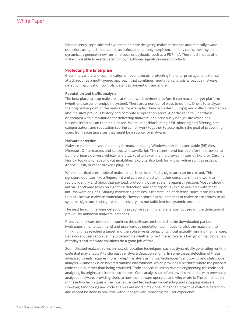# <span id="page-3-0"></span>White Paper

More recently, sophisticated cybercriminals are designing malware that can automatically evade detection, using techniques such as obfuscation or polymorphism. In many cases, these systems dynamically generate new run-time code or payloads (such as a PDF file). These techniques often make it possible to evade detection by traditional signature-based products.

#### **Protecting the Enterprise**

Given the variety and sophistication of recent theats, protecting the enterprise against external attack requires a multilayered approach that combines reputation analysis, proactive malware detection, application controls, data loss prevention, and more.

#### **Reputation and traffic analysis**

The best place to stop malware is at the network perimeter before it can reach a target platform (whether a server or endpoint system). There are a number of ways to do this. One is to analyze the origination point of the malware (for example, China or Eastern Europe) and collect information about a site's previous history and compute a reputation score. A particular site (IP address or domain) with a reputation for delivering malware, or a previously benign site which has become infected can then be blocked. Whitelisting/blacklisting, URL blocking and filtering, site categorization, and reputation scoring can all work together to accomplish the goal of preventing users from accessing sites that might be a source for malware.

#### **Malware detection**

Malware can be delivered in many formats, including Windows portable executable (PE) files, Microsoft Office macros and scripts, and JavaScript. The recent trend has been for the browser to be the primary delivery vehicle, and attacks often examine the browser (Internet Explorer, Chrome, Firefox) looking for specific vulnerabilities. Exploits also look for known vulnerabilities in Java, Adobe, Flash, or other browser plug-ins.

When a particular example of malware has been identified, a signature can be created. This signature operates like a fingerprint and can be shared with other computers in a network to rapidly identify and block that payload, protecting other systems against infection. Most endpoint antivirus software relies on signature detection, and that capability is also available with most anti-malware engines. Sharing malware signatures is the first line of defense, since it can be used to block known malware immediately. However, since not all instances of malware are known to all systems, signature testing—while necessary—is not sufficient for systemic protection.

The next level in malware detection is proactive scanning and analysis focused on the detection of previously unknown malware instances.

Proactive malware detection examines the software embedded in the downloaded packet (web page, email attachment) and uses various emulation techniques to trick the malware into thinking it has reached a target and then observe its behavior without actually running the malware. Behavioral observation can help determine whether or not the software is benign or malicious. Few of today's anti-malware solutions do a good job of this.

Sophisticated malware relies on new obfuscation techniques, such as dynamically generating runtime code that may enable it to slip past a malware detection engine. In some cases, detection of these advanced threats requires more in-depth analysis using two techniques: Sandboxing and static code analysis. A sandbox is an isolated runtime environment, which provides a platform where the payload code can run, rather than being emulated. Code analysis relies on reverse engineering the code and analyzing its origins and internal structures. Code analysis can often unveil similarities with previously analyzed malware, providing clues to how the malware operated and who wrote it. The combination of these two techniques is the most advanced technology for detecting and stopping malware. However, sandboxing and code analysis are more time-consuming than proactive malware detection and cannot be done in real time without negatively impacting the user experience.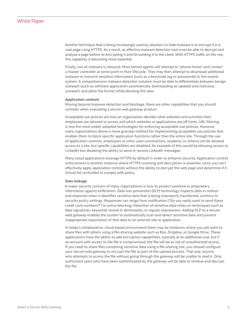# <span id="page-4-0"></span>White Paper

Another technique that is being increasingly used by attackers to hide malware is to encrypt it in a web page using HTTPS. As a result, an effective malware detection tool must be able to decrypt and analyze a page before re-encrypting it and forwarding it to the client. With HTTPS traffic on the rise, this capability is becoming more essential.

Finally, not all malware is inbound. Most botnet agents will attempt to "phone home" and contact a master controller at some point in their lifecycle. They may then attempt to download additional malware or transmit sensitive information (such as a keystroke log or passwords) to the master system. A comprehensive malware detection solution must be able to differentiate between benign outreach (such as software application automatically downloading an update) and malicious outreach, and allow the former while blocking the later.

#### **Application controls**

Moving beyond malware detection and blockage, there are other capabilities that you should consider when evaluating a secure web gateway product.

Acceptable use policies are how an organization decides what websites and activities their employees are allowed to access and which websites or applications are off limits. URL filtering is one the most widely adopted technologies for enforcing acceptable use policies. However, many organizations desire a more granular method for implementing acceptable use policies that enables them to block specific application functions rather than the entire site. Through the use of application controls, employees or other users (contractors, students, or others) can be allowed access to a site, but specific capabilities are disabled. An example of this would be allowing access to LinkedIn but disabling the ability to send or receive LinkedIn messages.

Many cloud applications leverage HTTPS by default in order to enhance security. Application control enforcement is another instance where HTTPS scanning and decryption is essential, since you can't effectively apply application controls without the ability to decrypt the web page and determine if it should be controlled to comply with policy.

#### **Data leakage**

A major security concern of many organizations is how to protect sensitive or proprietary information against exfiltration. Data loss prevention (DLP) technology inspects data in motion and responds when it identifies sensitive data that is being improperly transferred, contrary to security policy settings. Responses can range from notification ("Do you really want to send these credit card numbers?") to active blocking. Detection of sensitive data relies on techniques such as data signatures, keywords stored in dictionaries, or regular expressions. Adding DLP to a secure web gateway enables the system to automatically scan and detect sensitive data and prevent inappropriate exportation of that data to an external site or application.

In today's collaborative, cloud-based environment there may be instances where you will want to share files with others using a file-sharing website such as Box, Dropbox, or Google Drive. These applications have the ability to add encryption capabilities, typically at an additional cost, but if an account with access to the file is compromised, the file will be at risk of unauthorized access. If you need to share files containing sensitive data using a file-sharing site, you should configure your secure web gateway to encrypt the file as part of the upload process. That way, anyone who attempts to access the file without going through the gateway will be unable to read it. Only authorized users who have been authenticated by the gateway will be able to retrieve and decrypt the file.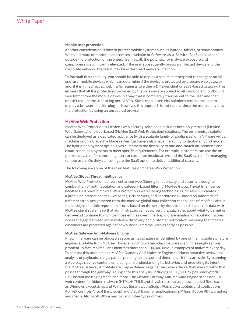#### <span id="page-5-0"></span>**Mobile user protection**

Another consideration is how to protect mobile systems such as laptops, tablets, or smartphones. When a remote or mobile user accesses a website or Software-as-a-Service (SaaS) application outside the protection of the enterprise firewall, the potential for malware exposure and compromise is significantly elevated. If the user subsequently brings an infected device into the corporate network, the result may be widespread malware infection.

To forestall this capability, you should be able to deploy a secure, tamperproof client agent on all end-user mobile devices which can determine if the device is protected by a secure web gateway and, if it isn't, redirect all web traffic requests to either a DMZ-resident or SaaS-based gateway. This ensures that all the protections provided by the gateway are applied to all inbound and outbound web traffic from the mobile device in a way that is completely transparent to the user, and that doesn't require the user to log onto a VPN. Some mobile security solutions require the user to deploy a browser-specific plug-in. However, this approach is not secure, since the user can bypass the protection by using an unsecured browser.

#### **McAfee Web Protection**

McAfee Web Protection is McAfee's web security solution. It includes both on-premises (McAfee Web Gateway) or cloud-based (McAfee SaaS Web Protection) solutions. The on-premises solution can be deployed as a dedicated appliance (with a scalable family of appliances) on a VMware virtual machine or on a blade in a blade server. Customers also have the ability to deploy a hybrid model. The hybrid deployment option gives customers the flexibility to mix-and-match on-premises and cloud-based deployments to meet specific requirements. For example, customers can use the onpremises system for controlling users at corporate headquarters and the SaaS system for managing remote users. Or, they can configure the SaaS option to deliver additional capacity.

The following are some of the main features of McAfee Web Protection.

#### **McAfee Global Threat Intelligence**

McAfee Web Protection delivers enhanced web filtering functionality and security through a combination of both reputation and category-based filtering. McAfee Global Threat Intelligence (McAfee GTI) powers McAfee Web Protection's web filtering technologies. McAfee GTI creates a profile of Internet entities—websites, DNS servers, and IP addresses—based on hundreds of different attributes gathered from the massive global data collection capabilities of McAfee Labs. It then assigns multiple reputation scores based on the security risk posed and shares this data with McAfee client systems so that administrators can apply very granular rules about what to permit or deny—and continue to monitor those entities over time. Rapid dissemination of reputation scores closes the gap between initial malware discovery and customer notification, ensuring that McAfee customers are protected against newly discovered malware as early as possible.

#### **McAfee Gateway Anti-Malware Engine**

Known malware can be blocked as soon as its signature is identified by one of the multiple signature engines available from McAfee. However, unknown (zero-day) malware is an increasingly serious problem. In fact, McAfee Labs identifies more than 100,000 unique examples of malware every day. To combat this problem, the McAfee Gateway Anti-Malware Engine conducts proactive behavioral analysis of payloads using a patent-pending technique and determines if they are safe. By scanning a web page's active content, emulating and understanding its behavior, and predicting its intent, the McAfee Gateway Anti-Malware Engine defends against zero-day attacks. Web-based traffic that passes through the gateway is subject to this analysis, including HTTP/HTTPS (SSL encrypted), FTP, instant messaging/chat, and more. The McAfee Gateway Anti-Malware Engine scans not just web content for hidden malware (HTML/HTML5 and JavaScript), but also downloaded files, such as Windows executables and Windows libraries, JavaScript, Flash, Java applets and applications, ActiveX controls, Visual Basic script and Visual Basic for applications, ZIP files, Adobe PDFs, graphics and media, Microsoft Office macros, and other types of files.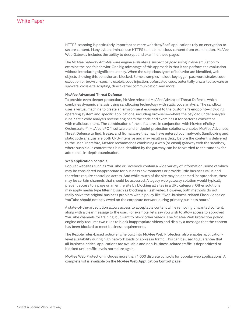<span id="page-6-0"></span>HTTPS scanning is particularly important as more websites/SaaS applications rely on encryption to secure content. Many cybercriminals use HTTPS to hide malicious content from examination. McAfee Web Gateway includes the ability to decrypt and examine these pages.

The McAfee Gateway Anti-Malware engine evaluates a suspect payload using in-line emulation to examine the code's behavior. One big advantage of this approach is that it can perform the evaluation without introducing significant latency. When the suspicious types of behavior are identified, web objects showing this behavior are blocked. Some examples include keylogger, password stealer, code execution or browser-specific exploit, code injection, obfuscated code, potentially unwanted adware or spyware, cross-site scripting, direct kernel communication, and more.

#### **McAfee Advanced Threat Defense**

To provide even deeper protection, McAfee released McAfee Advanced Threat Defense, which combines dynamic analysis using sandboxing technology with static code analysis. The sandbox uses a virtual machine to create an environment equivalent to the customer's endpoint—including operating system and specific applications, including browsers—where the payload under analysis runs. Static code analysis reverse engineers the code and examines it for patterns consistent with malicious intent. The combination of these features, in conjunction with McAfee ePolicy Orchestrator® (McAfee ePO™) software and endpoint protection solutions, enables McAfee Advanced Threat Defense to find, freeze, and fix malware that may have entered your network. Sandboxing and static code analysis are both CPU-intensive and may result in a delay before the content is delivered to the user. Therefore, McAfee recommends combining a web (or email) gateway with the sandbox, where suspicious content that is not identified by the gateway can be forwarded to the sandbox for additional, in-depth examination.

#### **Web application controls**

Popular websites such as YouTube or Facebook contain a wide variety of information, some of which may be considered inappropriate for business environments or provide little business value and therefore require controlled access. And while much of the site may be deemed inappropriate, there may be certain channels that should be accessed. A legacy web gateway solution would typically prevent access to a page or an entire site by blocking all sites in a URL category. Other solutions may apply media type filtering, such as blocking a Flash video. However, both methods do not really solve the original business problem with a policy like: "Non-business-related Flash videos on YouTube should not be viewed on the corporate network during primary business hours."

A state-of-the-art solution allows access to acceptable content while removing unwanted content, along with a clear message to the user. For example, let's say you wish to allow access to approved YouTube channels for training, but want to block other videos. The McAfee Web Protection policy engine only requires two rules to block inappropriate videos and display a message that the content has been blocked to meet business requirements.

The flexible rules-based policy engine built into McAfee Web Protection also enables applicationlevel availability during high network loads or spikes in traffic. This can be used to guarantee that all business-critical applications are available and non-business-related traffic is deprioritized or blocked until traffic levels normalize again.

McAfee Web Protection includes more than 1,000 discrete controls for popular web applications. A complete list is available on the McAfee **[Web Application Control page](http://www.mcafee.com/us/products/email-and-web-security/web-application-control.aspx)**.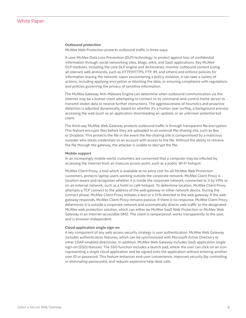#### <span id="page-7-0"></span>**Outbound protection**

McAfee Web Protection protects outbound traffic in three ways.

It uses McAfee Data Loss Prevention (DLP) technology to protect against loss of confidential information through social networking sites, blogs, wikis, and SaaS applications. Key McAfee DLP modules, including the core DLP engine and dictionaries, monitor outbound content (using all relevant web protocols, such as HTTP/HTTPS, FTP, IM, and others) and enforce policies for information leaving the network. Upon encountering a policy violation, it can take a variety of actions, including applying encryption or blocking the data, or ensuring compliance with regulations and policies governing the privacy of sensitive information.

The McAfee Gateway Anti-Malware Engine can determine when outbound communication via the Internet may be a botnet client attempting to connect to its command-and-control home server to transmit stolen data or receive further instructions. The aggressiveness of heuristics and proactive detection is adjusted dynamically, based on whether it's a human user surfing, a background process accessing the web (such as an application downloading an update), or an unknown potential bot client.

The third way McAfee Web Gateway protects outbound traffic is through transparent file encryption. This feature encrypts files before they are uploaded to an external file-sharing site, such as Box or Dropbox. This protects the file in the event the file-sharing site is compromised by a malicious outsider who steals credentials to an account with access to the file. Without the ability to retrieve the file through the gateway, the attacker is unable to decrypt the file.

#### **Mobile support**

In an increasingly mobile world, customers are concerned that a computer may be infected by accessing the Internet from an insecure access point, such as a public Wi-Fi hotspot.

McAfee Client Proxy, a tool which is available at no extra cost for all McAfee Web Protection customers, protects laptop users working outside the corporate network. McAfee Client Proxy is location-aware and recognizes whether it is inside the corporate network, connected to it by VPN, or on an external network, such as a hotel or café hotspot. To determine location, McAfee Client Proxy attempts a TCP connect to the address of the web gateway or other network device. During the connect phase, McAfee Client Proxy initiates a test or a SYN directed to the web gateway. If the web gateway responds, McAfee Client Proxy remains passive. If there is no response, McAfee Client Proxy determines it is outside a corporate network and automatically directs web traffic to the designated McAfee web protection solution, which can either be McAfee SaaS Web Protection or McAfee Web Gateway in an Internet-accessible DMZ. The client is tamperproof, works transparently to the user, and is browser-independent.

#### **Cloud application single sign-on**

A key component of any web access security strategy is user authentication. McAfee Web Gateway includes authentication features, which can be synchronized with Microsoft Active Directory or other LDAP-enabled directories. In addition, McAfee Web Gateway includes SaaS application single sign-on (SSO) features. The SSO function includes a launch pad, where the user can click on an icon representing a target cloud application and be signed onto the application without entering another user ID or password. This feature enhances end-user convenience, improves security (by controlling or eliminating passwords), and reduces expensive help desk calls.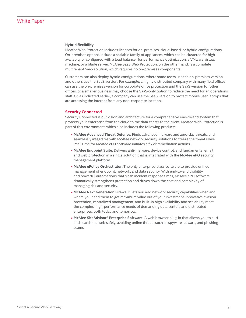#### <span id="page-8-0"></span>**Hybrid flexibility**

McAfee Web Protection includes licenses for on-premises, cloud-based, or hybrid configurations. On-premises options include a scalable family of appliances, which can be clustered for high availabity or configured with a load balancer for performance optimization; a VMware virtual machine; or a blade server. McAfee SaaS Web Protection, on the other hand, is a complete multitenant SaaS solution, which requires no on-premises components.

Customers can also deploy hybrid configurations, where some users use the on-premises version and others use the SaaS version. For example, a highly distributed company with many field offices can use the on-premises version for corporate office protection and the SaaS version for other offices, or a smaller business may choose the SaaS-only option to reduce the need for an operations staff. Or, as indicated earlier, a company can use the SaaS version to protect mobile user laptops that are accessing the Internet from any non-corporate location.

#### **Security Connected**

Security Connected is our vision and architecture for a comprehensive end-to-end system that protects your enterprise from the cloud to the data center to the client. McAfee Web Protection is part of this environment, which also includes the following products:

- **McAfee Advanced Threat Defense:** Finds advanced malware and zero-day threats, and seamlessly integrates with McAfee network security solutions to freeze the threat while Real Time for McAfee ePO software initiates a fix or remediation actions.
- **McAfee Endpoint Suite:** Delivers anti-malware, device control, and fundamental email and web protection in a single solution that is integrated with the McAfee ePO security management platform.
- **McAfee ePolicy Orchestrator:** The only enterprise-class software to provide unified management of endpoint, network, and data security. With end-to-end visibility and powerful automations that slash incident response times, McAfee ePO software dramatically strengthens protection and drives down the cost and complexity of managing risk and security.
- **McAfee Next Generation Firewall:** Lets you add network security capabilities when and where you need them to get maximum value out of your investment. Innovative evasion prevention, centralized management, and built-in high availability and scalability meet the complex, high-performance needs of demanding data centers and distributed enterprises, both today and tomorrow.
- **McAfee SiteAdvisor**® **Enterprise Software:** A web browser plug-in that allows you to surf and search the web safely, avoiding online threats such as spyware, adware, and phishing scams.